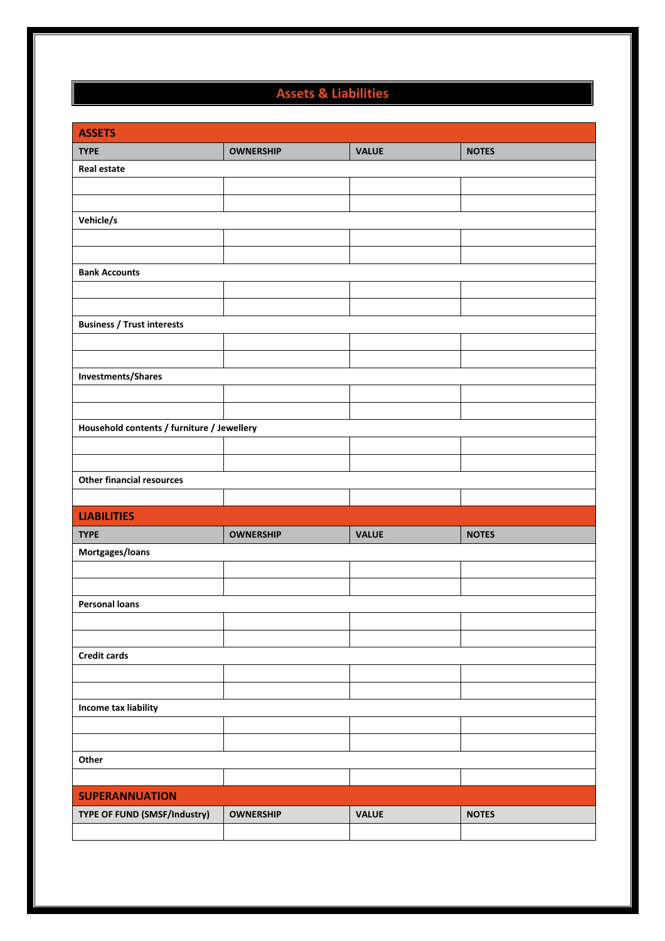## Assets & Liabilities

| <b>ASSETS</b>                              |                  |              |              |  |  |  |  |  |
|--------------------------------------------|------------------|--------------|--------------|--|--|--|--|--|
| <b>TYPE</b>                                | <b>OWNERSHIP</b> | <b>VALUE</b> | <b>NOTES</b> |  |  |  |  |  |
| <b>Real estate</b>                         |                  |              |              |  |  |  |  |  |
|                                            |                  |              |              |  |  |  |  |  |
|                                            |                  |              |              |  |  |  |  |  |
| Vehicle/s                                  |                  |              |              |  |  |  |  |  |
|                                            |                  |              |              |  |  |  |  |  |
|                                            |                  |              |              |  |  |  |  |  |
| <b>Bank Accounts</b>                       |                  |              |              |  |  |  |  |  |
|                                            |                  |              |              |  |  |  |  |  |
|                                            |                  |              |              |  |  |  |  |  |
| <b>Business / Trust interests</b>          |                  |              |              |  |  |  |  |  |
|                                            |                  |              |              |  |  |  |  |  |
|                                            |                  |              |              |  |  |  |  |  |
| Investments/Shares                         |                  |              |              |  |  |  |  |  |
|                                            |                  |              |              |  |  |  |  |  |
|                                            |                  |              |              |  |  |  |  |  |
| Household contents / furniture / Jewellery |                  |              |              |  |  |  |  |  |
|                                            |                  |              |              |  |  |  |  |  |
|                                            |                  |              |              |  |  |  |  |  |
| <b>Other financial resources</b>           |                  |              |              |  |  |  |  |  |
|                                            |                  |              |              |  |  |  |  |  |
| <b>LIABILITIES</b>                         |                  |              |              |  |  |  |  |  |
| <b>TYPE</b>                                | <b>OWNERSHIP</b> | <b>VALUE</b> | <b>NOTES</b> |  |  |  |  |  |
| Mortgages/loans                            |                  |              |              |  |  |  |  |  |
|                                            |                  |              |              |  |  |  |  |  |
|                                            |                  |              |              |  |  |  |  |  |
| <b>Personal loans</b>                      |                  |              |              |  |  |  |  |  |
|                                            |                  |              |              |  |  |  |  |  |
|                                            |                  |              |              |  |  |  |  |  |
| <b>Credit cards</b>                        |                  |              |              |  |  |  |  |  |
|                                            |                  |              |              |  |  |  |  |  |
|                                            |                  |              |              |  |  |  |  |  |
| Income tax liability                       |                  |              |              |  |  |  |  |  |
|                                            |                  |              |              |  |  |  |  |  |
|                                            |                  |              |              |  |  |  |  |  |
| Other                                      |                  |              |              |  |  |  |  |  |
|                                            |                  |              |              |  |  |  |  |  |
| <b>SUPERANNUATION</b>                      |                  |              |              |  |  |  |  |  |
| TYPE OF FUND (SMSF/Industry)               | <b>OWNERSHIP</b> | <b>VALUE</b> | <b>NOTES</b> |  |  |  |  |  |
|                                            |                  |              |              |  |  |  |  |  |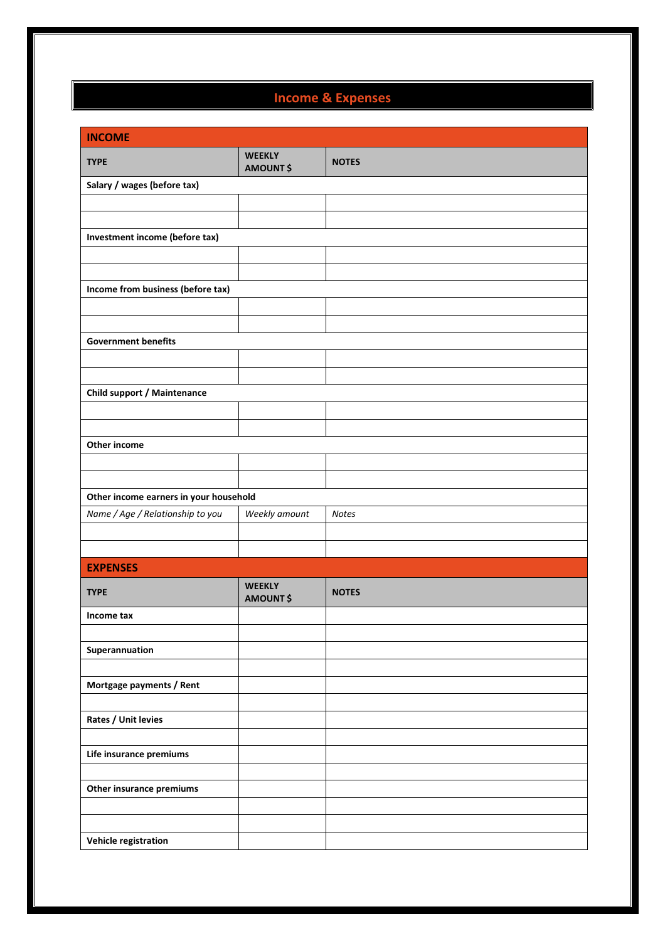## Income & Expenses

| <b>INCOME</b>                          |                                   |              |  |  |  |  |
|----------------------------------------|-----------------------------------|--------------|--|--|--|--|
| <b>TYPE</b>                            | <b>WEEKLY</b><br><b>AMOUNT \$</b> | <b>NOTES</b> |  |  |  |  |
| Salary / wages (before tax)            |                                   |              |  |  |  |  |
|                                        |                                   |              |  |  |  |  |
|                                        |                                   |              |  |  |  |  |
| Investment income (before tax)         |                                   |              |  |  |  |  |
|                                        |                                   |              |  |  |  |  |
|                                        |                                   |              |  |  |  |  |
| Income from business (before tax)      |                                   |              |  |  |  |  |
|                                        |                                   |              |  |  |  |  |
|                                        |                                   |              |  |  |  |  |
| <b>Government benefits</b>             |                                   |              |  |  |  |  |
|                                        |                                   |              |  |  |  |  |
|                                        |                                   |              |  |  |  |  |
| <b>Child support / Maintenance</b>     |                                   |              |  |  |  |  |
|                                        |                                   |              |  |  |  |  |
| Other income                           |                                   |              |  |  |  |  |
|                                        |                                   |              |  |  |  |  |
|                                        |                                   |              |  |  |  |  |
| Other income earners in your household |                                   |              |  |  |  |  |
| Name / Age / Relationship to you       | Weekly amount                     | <b>Notes</b> |  |  |  |  |
|                                        |                                   |              |  |  |  |  |
|                                        |                                   |              |  |  |  |  |
| <b>EXPENSES</b>                        |                                   |              |  |  |  |  |
| <b>TYPE</b>                            | <b>WEEKLY</b><br><b>AMOUNT \$</b> | <b>NOTES</b> |  |  |  |  |
| Income tax                             |                                   |              |  |  |  |  |
|                                        |                                   |              |  |  |  |  |
| Superannuation                         |                                   |              |  |  |  |  |
|                                        |                                   |              |  |  |  |  |
| Mortgage payments / Rent               |                                   |              |  |  |  |  |
|                                        |                                   |              |  |  |  |  |
| Rates / Unit levies                    |                                   |              |  |  |  |  |
|                                        |                                   |              |  |  |  |  |
| Life insurance premiums                |                                   |              |  |  |  |  |
|                                        |                                   |              |  |  |  |  |
| Other insurance premiums               |                                   |              |  |  |  |  |
|                                        |                                   |              |  |  |  |  |
|                                        |                                   |              |  |  |  |  |
| Vehicle registration                   |                                   |              |  |  |  |  |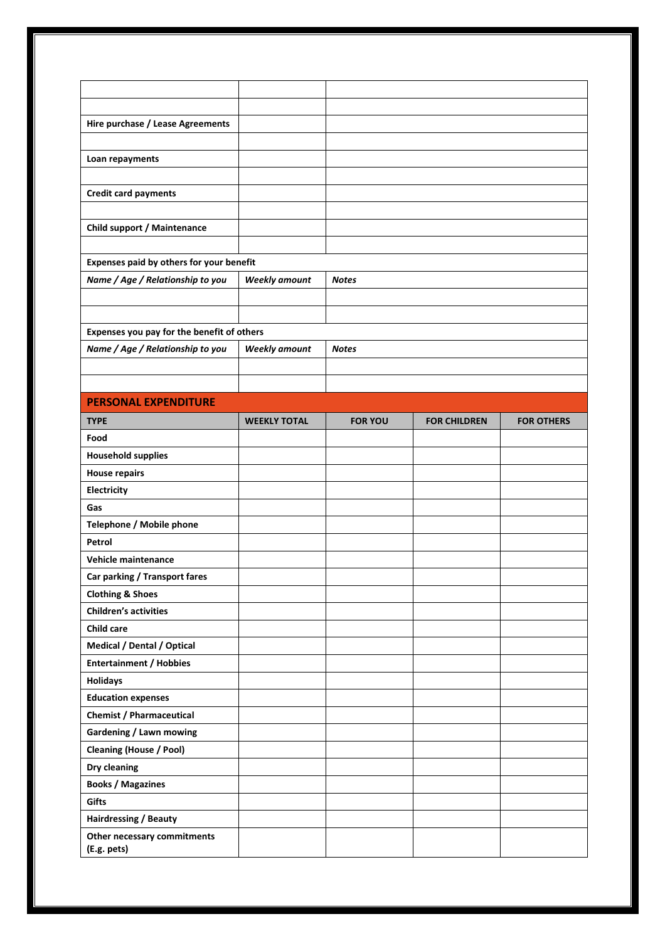| Hire purchase / Lease Agreements           |                      |                |                     |                   |
|--------------------------------------------|----------------------|----------------|---------------------|-------------------|
|                                            |                      |                |                     |                   |
| Loan repayments                            |                      |                |                     |                   |
|                                            |                      |                |                     |                   |
| <b>Credit card payments</b>                |                      |                |                     |                   |
|                                            |                      |                |                     |                   |
| Child support / Maintenance                |                      |                |                     |                   |
|                                            |                      |                |                     |                   |
| Expenses paid by others for your benefit   |                      |                |                     |                   |
| Name / Age / Relationship to you           | <b>Weekly amount</b> | <b>Notes</b>   |                     |                   |
|                                            |                      |                |                     |                   |
|                                            |                      |                |                     |                   |
| Expenses you pay for the benefit of others |                      |                |                     |                   |
| Name / Age / Relationship to you           | <b>Weekly amount</b> | <b>Notes</b>   |                     |                   |
|                                            |                      |                |                     |                   |
|                                            |                      |                |                     |                   |
| <b>PERSONAL EXPENDITURE</b>                |                      |                |                     |                   |
| <b>TYPE</b>                                | <b>WEEKLY TOTAL</b>  | <b>FOR YOU</b> | <b>FOR CHILDREN</b> | <b>FOR OTHERS</b> |
| Food                                       |                      |                |                     |                   |
| <b>Household supplies</b>                  |                      |                |                     |                   |
| <b>House repairs</b>                       |                      |                |                     |                   |
| Electricity                                |                      |                |                     |                   |
| Gas                                        |                      |                |                     |                   |
| Telephone / Mobile phone                   |                      |                |                     |                   |
| Petrol                                     |                      |                |                     |                   |
| <b>Vehicle maintenance</b>                 |                      |                |                     |                   |
| Car parking / Transport fares              |                      |                |                     |                   |
| <b>Clothing &amp; Shoes</b>                |                      |                |                     |                   |
| <b>Children's activities</b>               |                      |                |                     |                   |
| <b>Child care</b>                          |                      |                |                     |                   |
| Medical / Dental / Optical                 |                      |                |                     |                   |
| <b>Entertainment / Hobbies</b>             |                      |                |                     |                   |
| <b>Holidays</b>                            |                      |                |                     |                   |
| <b>Education expenses</b>                  |                      |                |                     |                   |
| <b>Chemist / Pharmaceutical</b>            |                      |                |                     |                   |
| <b>Gardening / Lawn mowing</b>             |                      |                |                     |                   |
| <b>Cleaning (House / Pool)</b>             |                      |                |                     |                   |
| Dry cleaning                               |                      |                |                     |                   |
| <b>Books / Magazines</b>                   |                      |                |                     |                   |
| Gifts                                      |                      |                |                     |                   |
| Hairdressing / Beauty                      |                      |                |                     |                   |
| Other necessary commitments<br>(E.g. pets) |                      |                |                     |                   |